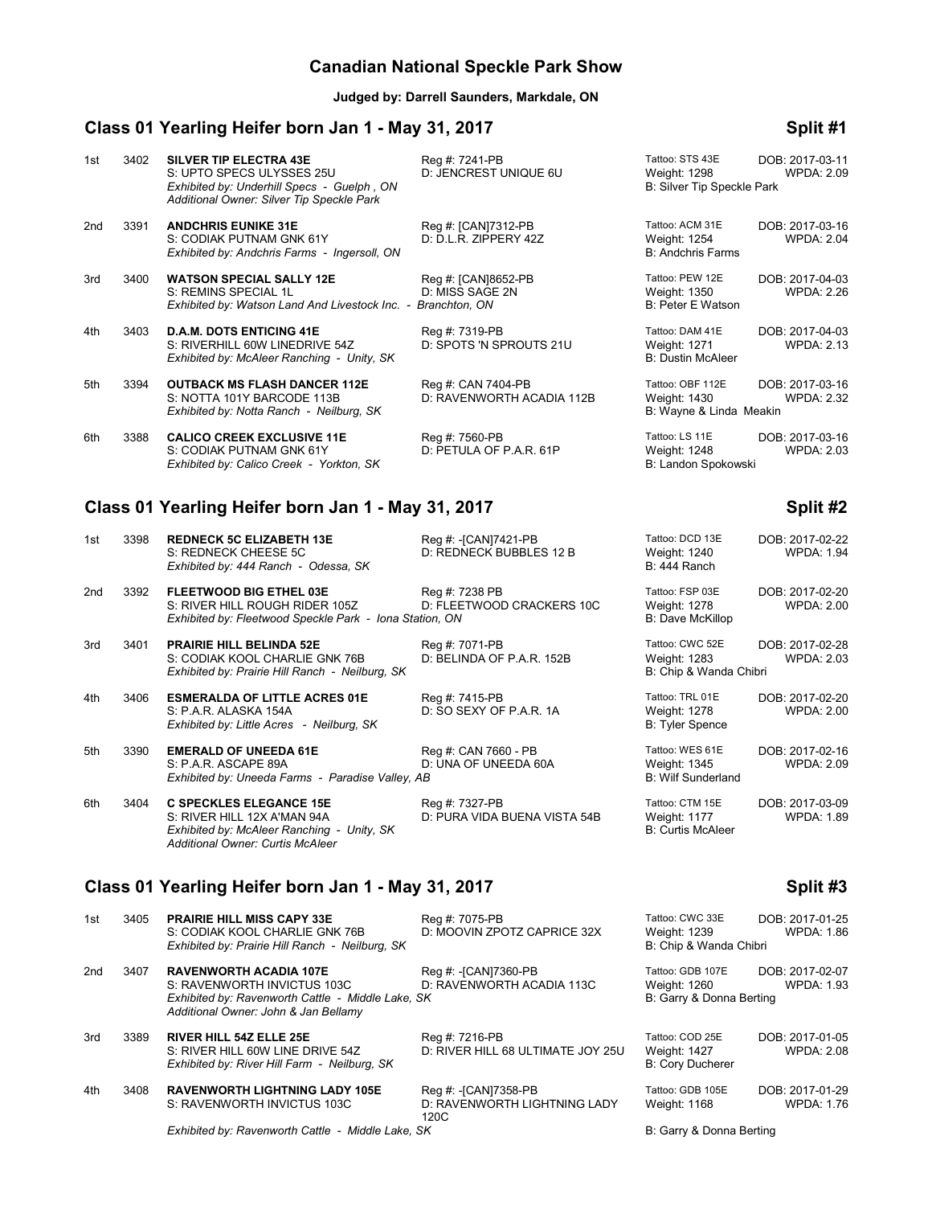# **Canadian National Speckle Park Show**

**Judged by: Darrell Saunders, Markdale, ON**

# **Class 01 Yearling Heifer born Jan 1 - May 31, 2017 Split #1**

| 1st | 3402 | <b>SILVER TIP ELECTRA 43E</b><br>S: UPTO SPECS ULYSSES 25U<br>Exhibited by: Underhill Specs - Guelph, ON<br>Additional Owner: Silver Tip Speckle Park | Reg #: 7241-PB<br>D: JENCREST UNIQUE 6U                 | Tattoo: STS 43E<br>Weight: 1298<br>B: Silver Tip Speckle Park | DOB: 2017-03-11<br><b>WPDA: 2.09</b> |
|-----|------|-------------------------------------------------------------------------------------------------------------------------------------------------------|---------------------------------------------------------|---------------------------------------------------------------|--------------------------------------|
| 2nd | 3391 | <b>ANDCHRIS EUNIKE 31E</b><br>S: CODIAK PUTNAM GNK 61Y<br>Exhibited by: Andchris Farms - Ingersoll, ON                                                | Reg #: [CAN]7312-PB<br>D: D.L.R. ZIPPERY 42Z            | Tattoo: ACM 31E<br>Weight: 1254<br><b>B: Andchris Farms</b>   | DOB: 2017-03-16<br><b>WPDA: 2.04</b> |
| 3rd | 3400 | <b>WATSON SPECIAL SALLY 12E</b><br>S: REMINS SPECIAL 1L<br>Exhibited by: Watson Land And Livestock Inc. -                                             | Reg #: [CAN]8652-PB<br>D: MISS SAGE 2N<br>Branchton, ON | Tattoo: PEW 12E<br>Weight: 1350<br>B: Peter E Watson          | DOB: 2017-04-03<br><b>WPDA: 2.26</b> |
| 4th | 3403 | <b>D.A.M. DOTS ENTICING 41E</b><br>S: RIVERHILL 60W LINEDRIVE 54Z<br>Exhibited by: McAleer Ranching - Unity, SK                                       | Reg #: 7319-PB<br>D: SPOTS 'N SPROUTS 21U               | Tattoo: DAM 41E<br>Weight: 1271<br><b>B: Dustin McAleer</b>   | DOB: 2017-04-03<br><b>WPDA: 2.13</b> |
| 5th | 3394 | <b>OUTBACK MS FLASH DANCER 112E</b><br>S: NOTTA 101Y BARCODE 113B<br>Exhibited by: Notta Ranch - Neilburg, SK                                         | Reg #: CAN 7404-PB<br>D: RAVENWORTH ACADIA 112B         | Tattoo: OBF 112E<br>Weight: 1430<br>B: Wayne & Linda Meakin   | DOB: 2017-03-16<br><b>WPDA: 2.32</b> |
| 6th | 3388 | <b>CALICO CREEK EXCLUSIVE 11E</b><br>S: CODIAK PUTNAM GNK 61Y<br>Exhibited by: Calico Creek - Yorkton, SK                                             | Reg #: 7560-PB<br>D: PETULA OF P.A.R. 61P               | Tattoo: LS 11E<br>Weight: 1248<br>B: Landon Spokowski         | DOB: 2017-03-16<br><b>WPDA: 2.03</b> |

## **Class 01 Yearling Heifer born Jan 1 - May 31, 2017 Split #2**

| 1st             | 3398                                                           | <b>REDNECK 5C ELIZABETH 13E</b><br>S: REDNECK CHEESE 5C<br>Exhibited by: 444 Ranch - Odessa, SK                                                        | Reg #: -[CAN]7421-PB<br>D: REDNECK BUBBLES 12 B | Tattoo: DCD 13E<br>Weight: 1240<br>B: 444 Ranch              | DOB: 2017-02-22<br><b>WPDA: 1.94</b> |
|-----------------|----------------------------------------------------------------|--------------------------------------------------------------------------------------------------------------------------------------------------------|-------------------------------------------------|--------------------------------------------------------------|--------------------------------------|
| 2 <sub>nd</sub> | 3392                                                           | FLEETWOOD BIG ETHEL 03E<br>S: RIVER HILL ROUGH RIDER 105Z<br>Exhibited by: Fleetwood Speckle Park - Iona Station, ON                                   | Reg #: 7238 PB<br>D: FLEETWOOD CRACKERS 10C     | Tattoo: FSP 03E<br>Weight: 1278<br><b>B: Dave McKillop</b>   | DOB: 2017-02-20<br><b>WPDA: 2.00</b> |
| 3rd             | 3401                                                           | <b>PRAIRIE HILL BELINDA 52E</b><br>S: CODIAK KOOL CHARLIE GNK 76B<br>Exhibited by: Prairie Hill Ranch - Neilburg, SK                                   | Reg #: 7071-PB<br>D: BELINDA OF P.A.R. 152B     | Tattoo: CWC 52E<br>Weight: 1283<br>B: Chip & Wanda Chibri    | DOB: 2017-02-28<br><b>WPDA: 2.03</b> |
| 4th             | 3406                                                           | <b>ESMERALDA OF LITTLE ACRES 01E</b><br>S: P.A.R. ALASKA 154A<br>Exhibited by: Little Acres - Neilburg, SK                                             | Reg #: 7415-PB<br>D: SO SEXY OF P.A.R. 1A       | Tattoo: TRL 01E<br>Weight: 1278<br><b>B: Tyler Spence</b>    | DOB: 2017-02-20<br><b>WPDA: 2.00</b> |
| 5th             | 3390                                                           | <b>EMERALD OF UNEEDA 61E</b><br>S: P.A.R. ASCAPE 89A<br>Exhibited by: Uneeda Farms - Paradise Valley, AB                                               | Reg #: CAN 7660 - PB<br>D: UNA OF UNEEDA 60A    | Tattoo: WES 61E<br>Weight: 1345<br><b>B: Wilf Sunderland</b> | DOB: 2017-02-16<br><b>WPDA: 2.09</b> |
| 6th             | 3404                                                           | <b>C SPECKLES ELEGANCE 15E</b><br>S: RIVER HILL 12X A'MAN 94A<br>Exhibited by: McAleer Ranching - Unity, SK<br><b>Additional Owner: Curtis McAleer</b> | Reg #: 7327-PB<br>D: PURA VIDA BUENA VISTA 54B  | Tattoo: CTM 15E<br>Weight: 1177<br><b>B: Curtis McAleer</b>  | DOB: 2017-03-09<br><b>WPDA: 1.89</b> |
|                 | Class 01 Yearling Heifer born Jan 1 - May 31, 2017<br>Split #3 |                                                                                                                                                        |                                                 |                                                              |                                      |
| $4-1$           | 0.40E                                                          | <b>DOAIDIE UILL MICC CADV 22E</b>                                                                                                                      | $D_{\text{max}}$ 4. 7075 DD                     | $T0H0$ $C(M/C, 22E)$                                         | DOD: 0047.04.05                      |

| 1st | 3405 | <b>PRAIRIE HILL MISS CAPY 33E</b><br>S: CODIAK KOOL CHARLIE GNK 76B                                                                                       | Reg #: 7075-PB<br>D: MOOVIN ZPOTZ CAPRICE 32X                | Tattoo: CWC 33E<br>Weight: 1239                              | DOB: 2017-01-25<br><b>WPDA: 1.86</b> |
|-----|------|-----------------------------------------------------------------------------------------------------------------------------------------------------------|--------------------------------------------------------------|--------------------------------------------------------------|--------------------------------------|
|     |      | Exhibited by: Prairie Hill Ranch - Neilburg, SK                                                                                                           |                                                              | B: Chip & Wanda Chibri                                       |                                      |
| 2nd | 3407 | <b>RAVENWORTH ACADIA 107E</b><br>S: RAVENWORTH INVICTUS 103C<br>Exhibited by: Ravenworth Cattle - Middle Lake, SK<br>Additional Owner: John & Jan Bellamy | Reg #: -[CAN]7360-PB<br>D: RAVENWORTH ACADIA 113C            | Tattoo: GDB 107E<br>Weight: 1260<br>B: Garry & Donna Berting | DOB: 2017-02-07<br><b>WPDA: 1.93</b> |
| 3rd | 3389 | <b>RIVER HILL 54Z ELLE 25E</b><br>S: RIVER HILL 60W LINE DRIVE 54Z<br>Exhibited by: River Hill Farm - Neilburg, SK                                        | Reg #: 7216-PB<br>D: RIVER HILL 68 ULTIMATE JOY 25U          | Tattoo: COD 25E<br>Weight: 1427<br><b>B: Cory Ducherer</b>   | DOB: 2017-01-05<br><b>WPDA: 2.08</b> |
| 4th | 3408 | <b>RAVENWORTH LIGHTNING LADY 105E</b><br>S: RAVENWORTH INVICTUS 103C                                                                                      | Reg #: -[CAN]7358-PB<br>D: RAVENWORTH LIGHTNING LADY<br>120C | Tattoo: GDB 105E<br>Weight: 1168                             | DOB: 2017-01-29<br><b>WPDA: 1.76</b> |
|     |      | Exhibited by: Ravenworth Cattle - Middle Lake, SK                                                                                                         |                                                              | B: Garry & Donna Berting                                     |                                      |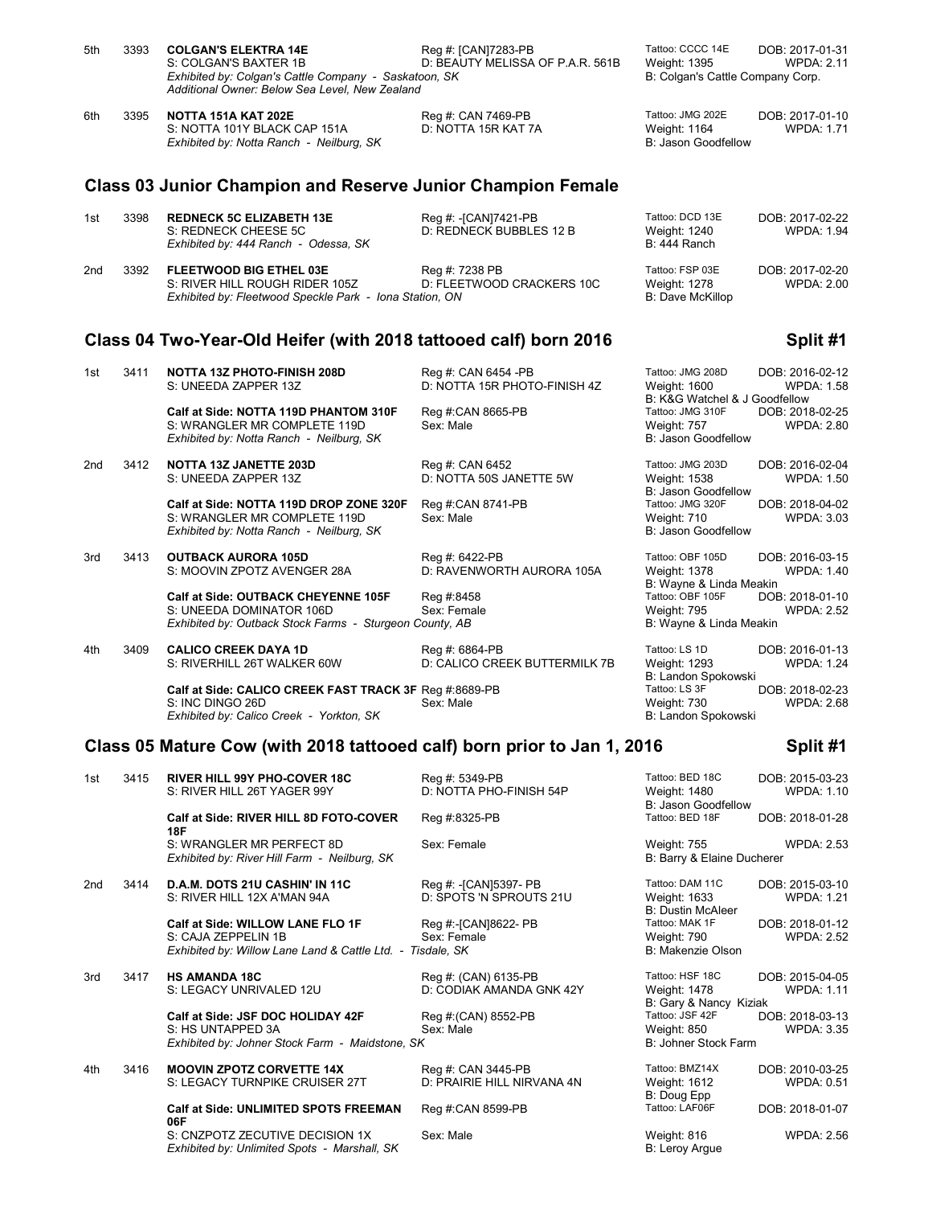|     |      | S: COLGAN'S BAXTER 1B<br>Exhibited by: Colgan's Cattle Company - Saskatoon, SK<br>Additional Owner: Below Sea Level, New Zealand  | D: BEAUTY MELISSA OF P.A.R. 561B                    | Weight: 1395<br>B: Colgan's Cattle Company Corp.                                             | <b>WPDA: 2.11</b>                    |
|-----|------|-----------------------------------------------------------------------------------------------------------------------------------|-----------------------------------------------------|----------------------------------------------------------------------------------------------|--------------------------------------|
| 6th | 3395 | NOTTA 151A KAT 202E<br>S: NOTTA 101Y BLACK CAP 151A<br>Exhibited by: Notta Ranch - Neilburg, SK                                   | Reg #: CAN 7469-PB<br>D: NOTTA 15R KAT 7A           | Tattoo: JMG 202E<br>Weight: 1164<br>B: Jason Goodfellow                                      | DOB: 2017-01-10<br><b>WPDA: 1.71</b> |
|     |      | <b>Class 03 Junior Champion and Reserve Junior Champion Female</b>                                                                |                                                     |                                                                                              |                                      |
| 1st | 3398 | <b>REDNECK 5C ELIZABETH 13E</b><br>S: REDNECK CHEESE 5C<br>Exhibited by: 444 Ranch - Odessa, SK                                   | Reg #: - [CAN]7421-PB<br>D: REDNECK BUBBLES 12 B    | Tattoo: DCD 13E<br>Weight: 1240<br>B: 444 Ranch                                              | DOB: 2017-02-22<br><b>WPDA: 1.94</b> |
| 2nd | 3392 | <b>FLEETWOOD BIG ETHEL 03E</b><br>S: RIVER HILL ROUGH RIDER 105Z<br>Exhibited by: Fleetwood Speckle Park - Iona Station, ON       | Reg #: 7238 PB<br>D: FLEETWOOD CRACKERS 10C         | Tattoo: FSP 03E<br>Weight: 1278<br>B: Dave McKillop                                          | DOB: 2017-02-20<br><b>WPDA: 2.00</b> |
|     |      | Class 04 Two-Year-Old Heifer (with 2018 tattooed calf) born 2016                                                                  |                                                     |                                                                                              | Split #1                             |
| 1st | 3411 | NOTTA 13Z PHOTO-FINISH 208D<br>S: UNEEDA ZAPPER 13Z                                                                               | Reg #: CAN 6454 -PB<br>D: NOTTA 15R PHOTO-FINISH 4Z | Tattoo: JMG 208D<br>Weight: 1600                                                             | DOB: 2016-02-12<br><b>WPDA: 1.58</b> |
|     |      | Calf at Side: NOTTA 119D PHANTOM 310F<br>S: WRANGLER MR COMPLETE 119D<br>Exhibited by: Notta Ranch - Neilburg, SK                 | Reg #:CAN 8665-PB<br>Sex: Male                      | B: K&G Watchel & J Goodfellow<br>Tattoo: JMG 310F<br>Weight: 757<br>B: Jason Goodfellow      | DOB: 2018-02-25<br><b>WPDA: 2.80</b> |
| 2nd | 3412 | NOTTA 13Z JANETTE 203D<br>S: UNEEDA ZAPPER 13Z                                                                                    | Reg #: CAN 6452<br>D: NOTTA 50S JANETTE 5W          | Tattoo: JMG 203D<br>Weight: 1538                                                             | DOB: 2016-02-04<br><b>WPDA: 1.50</b> |
|     |      | Calf at Side: NOTTA 119D DROP ZONE 320F<br>S: WRANGLER MR COMPLETE 119D<br>Exhibited by: Notta Ranch - Neilburg, SK               | Reg #:CAN 8741-PB<br>Sex: Male                      | B: Jason Goodfellow<br>Tattoo: JMG 320F<br>Weight: 710<br>B: Jason Goodfellow                | DOB: 2018-04-02<br>WPDA: 3.03        |
| 3rd | 3413 | <b>OUTBACK AURORA 105D</b><br>S: MOOVIN ZPOTZ AVENGER 28A                                                                         | Reg #: 6422-PB<br>D: RAVENWORTH AURORA 105A         | Tattoo: OBF 105D<br>Weight: 1378                                                             | DOB: 2016-03-15<br><b>WPDA: 1.40</b> |
|     |      | <b>Calf at Side: OUTBACK CHEYENNE 105F</b><br>S: UNEEDA DOMINATOR 106D<br>Exhibited by: Outback Stock Farms - Sturgeon County, AB | Reg #:8458<br>Sex: Female                           | B: Wayne & Linda Meakin<br>Tattoo: OBF 105F<br><b>Weight: 795</b><br>B: Wayne & Linda Meakin | DOB: 2018-01-10<br><b>WPDA: 2.52</b> |
| 4th | 3409 | <b>CALICO CREEK DAYA 1D</b><br>S: RIVERHILL 26T WALKER 60W                                                                        | Reg #: 6864-PB<br>D: CALICO CREEK BUTTERMILK 7B     | Tattoo: LS 1D<br>Weight: 1293<br>B: Landon Spokowski                                         | DOB: 2016-01-13<br><b>WPDA: 1.24</b> |
|     |      | Calf at Side: CALICO CREEK FAST TRACK 3F Req #:8689-PB<br>S: INC DINGO 26D<br>Exhibited by: Calico Creek - Yorkton, SK            | Sex: Male                                           | Tattoo: LS 3F<br>Weight: 730<br>B: Landon Spokowski                                          | DOB: 2018-02-23<br><b>WPDA: 2.68</b> |
|     |      | Class 05 Mature Cow (with 2018 tattooed calf) born prior to Jan 1, 2016                                                           |                                                     |                                                                                              | Split #1                             |
| 1st | 3415 | RIVER HILL 99Y PHO-COVER 18C<br>S: RIVER HILL 26T YAGER 99Y                                                                       | Reg #: 5349-PB<br>D: NOTTA PHO-FINISH 54P           | Tattoo: BED 18C<br>Weight: 1480                                                              | DOB: 2015-03-23<br>WPDA: 1.10        |
|     |      | Calf at Side: RIVER HILL 8D FOTO-COVER                                                                                            | Reg #:8325-PB                                       | B: Jason Goodfellow<br>Tattoo: BED 18F                                                       | DOB: 2018-01-28                      |
|     |      | 18F<br>S: WRANGLER MR PERFECT 8D<br>Exhibited by: River Hill Farm - Neilburg, SK                                                  | Sex: Female                                         | <b>Weight: 755</b><br>B: Barry & Elaine Ducherer                                             | <b>WPDA: 2.53</b>                    |
| 2nd | 3414 | D.A.M. DOTS 21U CASHIN' IN 11C<br>S: RIVER HILL 12X A'MAN 94A                                                                     | Reg #: -[CAN]5397- PB<br>D: SPOTS 'N SPROUTS 21U    | Tattoo: DAM 11C<br>Weight: 1633                                                              | DOB: 2015-03-10<br>WPDA: 1.21        |
|     |      | Calf at Side: WILLOW LANE FLO 1F<br>S: CAJA ZEPPELIN 1B<br>Exhibited by: Willow Lane Land & Cattle Ltd. - Tisdale, SK             | Reg #:-[CAN]8622- PB<br>Sex: Female                 | <b>B: Dustin McAleer</b><br>Tattoo: MAK 1F<br>Weight: 790<br>B: Makenzie Olson               | DOB: 2018-01-12<br><b>WPDA: 2.52</b> |
| 3rd | 3417 | <b>HS AMANDA 18C</b><br>S: LEGACY UNRIVALED 12U                                                                                   | Reg #: (CAN) 6135-PB<br>D: CODIAK AMANDA GNK 42Y    | Tattoo: HSF 18C<br>Weight: 1478                                                              | DOB: 2015-04-05<br><b>WPDA: 1.11</b> |
|     |      | Calf at Side: JSF DOC HOLIDAY 42F<br>S: HS UNTAPPED 3A<br>Exhibited by: Johner Stock Farm - Maidstone, SK                         | Reg #: (CAN) 8552-PB<br>Sex: Male                   | B: Gary & Nancy Kiziak<br>Tattoo: JSF 42F<br><b>Weight: 850</b><br>B: Johner Stock Farm      | DOB: 2018-03-13<br><b>WPDA: 3.35</b> |
| 4th | 3416 | <b>MOOVIN ZPOTZ CORVETTE 14X</b><br>S: LEGACY TURNPIKE CRUISER 27T                                                                | Reg #: CAN 3445-PB<br>D: PRAIRIE HILL NIRVANA 4N    | Tattoo: BMZ14X<br>Weight: 1612                                                               | DOB: 2010-03-25<br><b>WPDA: 0.51</b> |
|     |      | Calf at Side: UNLIMITED SPOTS FREEMAN<br>06F                                                                                      | Reg #:CAN 8599-PB                                   | B: Doug Epp<br>Tattoo: LAF06F                                                                | DOB: 2018-01-07                      |
|     |      | S: CNZPOTZ ZECUTIVE DECISION 1X<br>Exhibited by: Unlimited Spots - Marshall, SK                                                   | Sex: Male                                           | Weight: 816<br>B: Leroy Argue                                                                | <b>WPDA: 2.56</b>                    |
|     |      |                                                                                                                                   |                                                     |                                                                                              |                                      |

5th 3393 **COLGAN'S ELEKTRA 14E** Reg #: [CAN]7283-PB Tattoo: CCCC 14E DOB: 2017-01-31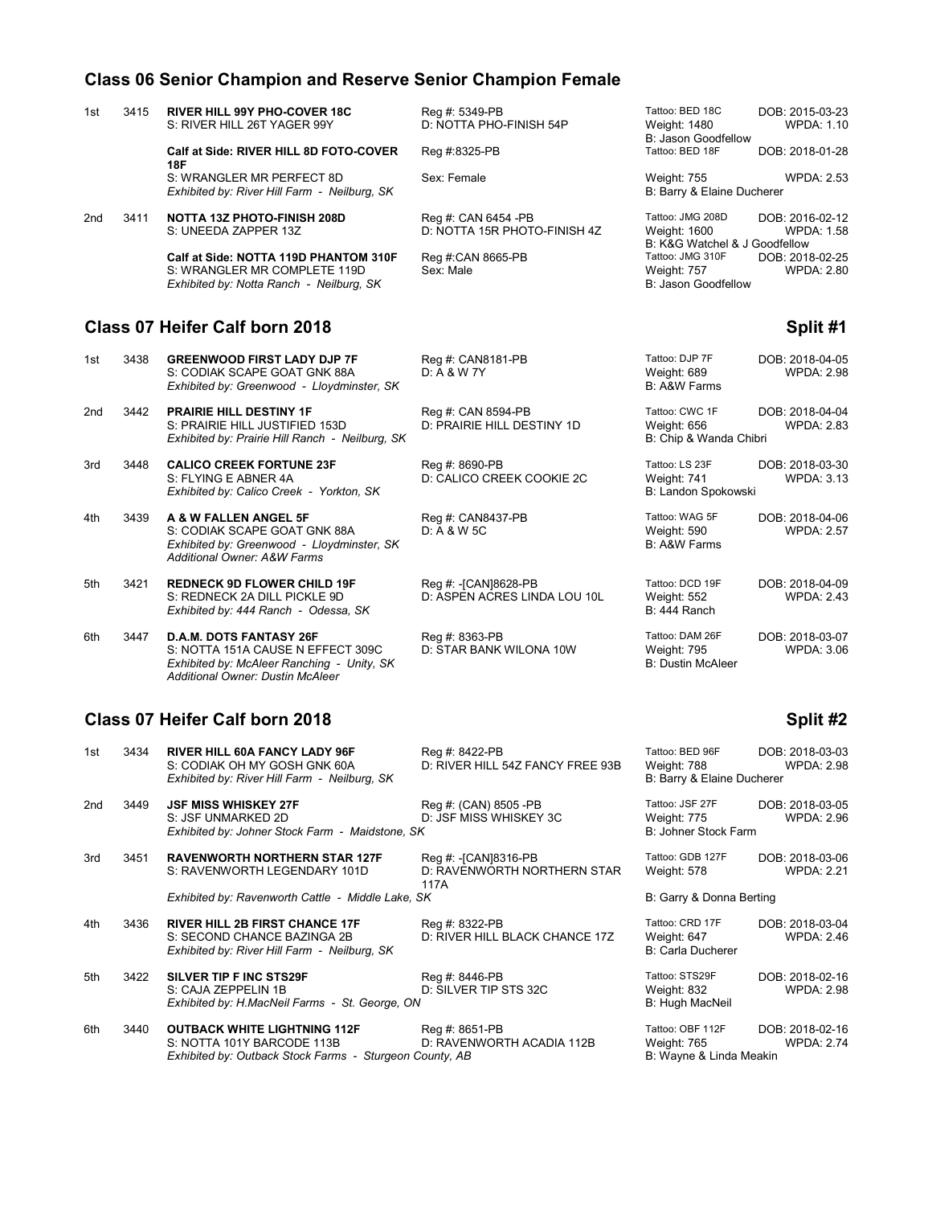## **Class 06 Senior Champion and Reserve Senior Champion Female**

| 1st                                        | 3415 | <b>RIVER HILL 99Y PHO-COVER 18C</b><br>S: RIVER HILL 26T YAGER 99Y                                                                                    | Reg #: 5349-PB<br>D: NOTTA PHO-FINISH 54P             | Tattoo: BED 18C<br>DOB: 2015-03-23<br><b>Weight: 1480</b><br><b>WPDA: 1.10</b><br>B: Jason Goodfellow     |
|--------------------------------------------|------|-------------------------------------------------------------------------------------------------------------------------------------------------------|-------------------------------------------------------|-----------------------------------------------------------------------------------------------------------|
|                                            |      | Calf at Side: RIVER HILL 8D FOTO-COVER<br><b>18F</b>                                                                                                  | Reg #:8325-PB                                         | Tattoo: BED 18F<br>DOB: 2018-01-28                                                                        |
|                                            |      | S: WRANGLER MR PERFECT 8D<br>Exhibited by: River Hill Farm - Neilburg, SK                                                                             | Sex: Female                                           | <b>WPDA: 2.53</b><br><b>Weight: 755</b><br>B: Barry & Elaine Ducherer                                     |
| 2 <sub>nd</sub>                            | 3411 | <b>NOTTA 13Z PHOTO-FINISH 208D</b><br>S: UNEEDA ZAPPER 13Z                                                                                            | Reg #: CAN 6454 -PB<br>D: NOTTA 15R PHOTO-FINISH 4Z   | Tattoo: JMG 208D<br>DOB: 2016-02-12<br><b>WPDA: 1.58</b><br>Weight: 1600<br>B: K&G Watchel & J Goodfellow |
|                                            |      | Calf at Side: NOTTA 119D PHANTOM 310F<br>S: WRANGLER MR COMPLETE 119D<br>Exhibited by: Notta Ranch - Neilburg, SK                                     | Reg #:CAN 8665-PB<br>Sex: Male                        | Tattoo: JMG 310F<br>DOB: 2018-02-25<br>Weight: 757<br><b>WPDA: 2.80</b><br>B: Jason Goodfellow            |
| Class 07 Heifer Calf born 2018<br>Split #1 |      |                                                                                                                                                       |                                                       |                                                                                                           |
| 1st                                        | 3438 | <b>GREENWOOD FIRST LADY DJP 7F</b><br>S: CODIAK SCAPE GOAT GNK 88A<br>Exhibited by: Greenwood - Lloydminster, SK                                      | Reg #: CAN8181-PB<br>D: A & W 7Y                      | Tattoo: DJP 7F<br>DOB: 2018-04-05<br>Weight: 689<br><b>WPDA: 2.98</b><br>B: A&W Farms                     |
| 2nd                                        | 3442 | <b>PRAIRIE HILL DESTINY 1F</b><br>S: PRAIRIE HILL JUSTIFIED 153D<br>Exhibited by: Prairie Hill Ranch - Neilburg, SK                                   | Reg #: CAN 8594-PB<br>D: PRAIRIE HILL DESTINY 1D      | Tattoo: CWC 1F<br>DOB: 2018-04-04<br><b>WPDA: 2.83</b><br>Weight: 656<br>B: Chip & Wanda Chibri           |
| 3rd                                        | 3448 | <b>CALICO CREEK FORTUNE 23F</b><br>S: FLYING E ABNER 4A<br>Exhibited by: Calico Creek - Yorkton, SK                                                   | Reg #: 8690-PB<br>D: CALICO CREEK COOKIE 2C           | Tattoo: LS 23F<br>DOB: 2018-03-30<br>Weight: 741<br><b>WPDA: 3.13</b><br>B: Landon Spokowski              |
| 4th                                        | 3439 | A & W FALLEN ANGEL 5F<br>S: CODIAK SCAPE GOAT GNK 88A<br>Exhibited by: Greenwood - Lloydminster, SK<br><b>Additional Owner: A&amp;W Farms</b>         | Reg #: CAN8437-PB<br>D: A & W 5C                      | Tattoo: WAG 5F<br>DOB: 2018-04-06<br>Weight: 590<br><b>WPDA: 2.57</b><br>B: A&W Farms                     |
| 5th                                        | 3421 | <b>REDNECK 9D FLOWER CHILD 19F</b><br>S: REDNECK 2A DILL PICKLE 9D<br>Exhibited by: 444 Ranch - Odessa, SK                                            | Reg #: - [CAN]8628-PB<br>D: ASPEN ACRES LINDA LOU 10L | Tattoo: DCD 19F<br>DOB: 2018-04-09<br><b>Weight: 552</b><br><b>WPDA: 2.43</b><br><b>B: 444 Ranch</b>      |
| 6th                                        | 3447 | D.A.M. DOTS FANTASY 26F<br>S: NOTTA 151A CAUSE N EFFECT 309C<br>Exhibited by: McAleer Ranching - Unity, SK<br><b>Additional Owner: Dustin McAleer</b> | Reg #: 8363-PB<br>D: STAR BANK WILONA 10W             | Tattoo: DAM 26F<br>DOB: 2018-03-07<br>Weight: 795<br><b>WPDA: 3.06</b><br><b>B: Dustin McAleer</b>        |
|                                            |      | Class 07 Heifer Calf born 2018                                                                                                                        |                                                       | Split #2                                                                                                  |
| 1st                                        | 3434 | <b>RIVER HILL 60A FANCY LADY 96F</b><br>S: CODIAK OH MY GOSH GNK 60A<br>Exhibited by: River Hill Farm - Neilburg, SK                                  | Reg #: 8422-PB<br>D: RIVER HILL 54Z FANCY FREE 93B    | Tattoo: BED 96F<br>DOB: 2018-03-03<br><b>WPDA: 2.98</b><br>Weight: 788<br>B: Barry & Elaine Ducherer      |

2nd 20 **JSF MISS WHISKEY 27F** Reg #: (CAN) 8505 -PB T<br>S: JSF UNMARKED 2D D: JSF MISS WHISKEY 3C D: JSF MISS WHISKEY 3C WEIGHT: JSF MISS WHISKEY 3C WEIGHT: 775 WEIGHT: 775 WEIGHT: 775 WEIGHT: 775 W<br>E *Exhibited by: Johner Stock Farm - Maidstone, SK* 15 1 **RAVENWORTH NORTHERN STAR 127F** Reg #: -[CAN]8316-PB T<br>S: RAVENWORTH LEGENDARY 101D D: RAVENWORTH NORTHERN STAR V S: RAVENWORTH LEGENDARY 101D 117A *Exhibited by: Ravenworth Cattle - Middle Lake, SK* B: Garry Berting Berting Berting Berting B 4th 3436 **RIVER HILL 2B FIRST CHANCE 17F** Reg #: 8322-PB **Tattoo: CRIPT 17** Tattoo: S: SECOND CHANCE BAZINGA 2B D: RIVER HILL BLACK CHANCE 17Z V D: RIVER HILL BLACK CHANCE 17Z WEIGHT: RIVER HILL BLACK CHANCE 17Z *Exhibited by: River Hill Farm - Neilburg, SK* 5th 3422 **SILVER TIP F INC STS29F** Reg #: 8446-PB Reg #: 3422 **SILVER TIP F INC STS29F** Reg #: 8446-PB D: SILVER TIP STS 32C W<br>B *Exhibited by: H.MacNeil Farms - St. George, ON* 

6th 3440 **OUTBACK WHITE LIGHTNING 112F** Reg #: 8651-PB Tattoo: OBF 112F DOB: 2018-02-16<br>S: NOTTA 101Y BARCODE 113B D: RAVENWORTH ACADIA 112B Weight: 765 WPDA: 2.74 D: RAVENWORTH ACADIA 112B Weight: 765<br>County, AB B: Wayne & Linda Meakin *Exhibited by: Outback Stock Farms - Sturgeon County, AB* 

| Weight: 788<br>B: Barry & Elaine Ducherer                  | <b>WPDA: 2.98</b>                    |
|------------------------------------------------------------|--------------------------------------|
| Tattoo: JSF 27F<br>Weight: 775<br>B: Johner Stock Farm     | DOB: 2018-03-05<br>WPDA: 2.96        |
| Tattoo: GDB 127F<br>Weight: 578                            | DOB: 2018-03-06<br><b>WPDA: 2.21</b> |
| B: Garry & Donna Berting                                   |                                      |
| Tattoo: CRD 17F<br>Weight: 647<br><b>B: Carla Ducherer</b> | DOB: 2018-03-04<br><b>WPDA: 2.46</b> |
| Tattoo: STS29F<br>Weight: 832<br>B: Hugh MacNeil           | DOB: 2018-02-16<br><b>WPDA: 2.98</b> |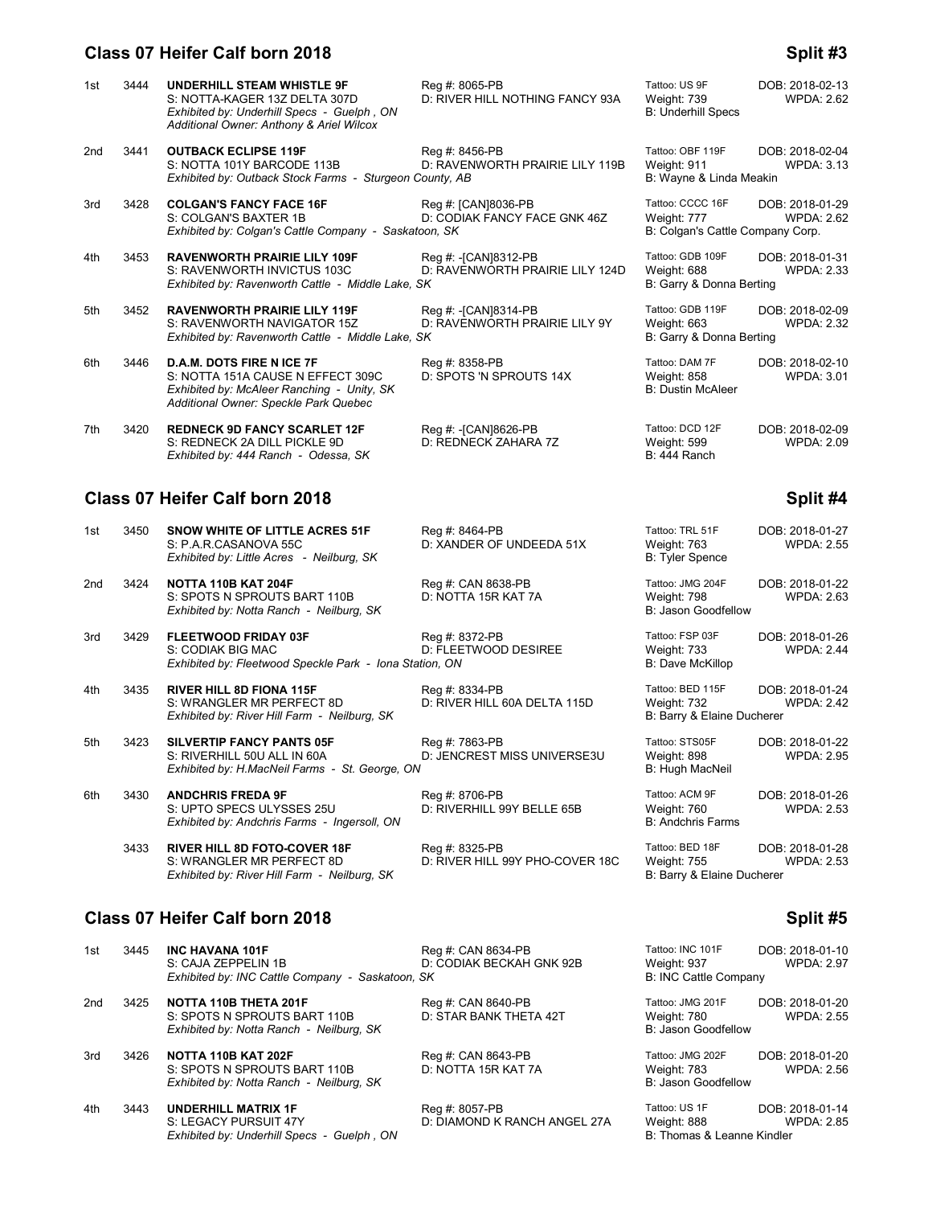### **Class 07 Heifer Calf born 2018 Split #3 Split #3**

| 1st | 3444 | <b>UNDERHILL STEAM WHISTLE 9F</b><br>S: NOTTA-KAGER 13Z DELTA 307D<br>Exhibited by: Underhill Specs - Guelph, ON<br>Additional Owner: Anthony & Ariel Wilcox | Reg #: 8065-PB<br>D: RIVER HILL NOTHING FANCY 93A       | Tattoo: US 9F<br>Weight: 739<br><b>B: Underhill Specs</b>           | DOB: 2018-02-13<br><b>WPDA: 2.62</b> |
|-----|------|--------------------------------------------------------------------------------------------------------------------------------------------------------------|---------------------------------------------------------|---------------------------------------------------------------------|--------------------------------------|
| 2nd | 3441 | <b>OUTBACK ECLIPSE 119F</b><br>S: NOTTA 101Y BARCODE 113B<br>Exhibited by: Outback Stock Farms - Sturgeon County, AB                                         | Reg #: 8456-PB<br>D: RAVENWORTH PRAIRIE LILY 119B       | Tattoo: OBF 119F<br>Weight: 911<br>B: Wayne & Linda Meakin          | DOB: 2018-02-04<br><b>WPDA: 3.13</b> |
| 3rd | 3428 | <b>COLGAN'S FANCY FACE 16F</b><br>S: COLGAN'S BAXTER 1B<br>Exhibited by: Colgan's Cattle Company - Saskatoon, SK                                             | Reg #: [CAN]8036-PB<br>D: CODIAK FANCY FACE GNK 46Z     | Tattoo: CCCC 16F<br>Weight: 777<br>B: Colgan's Cattle Company Corp. | DOB: 2018-01-29<br><b>WPDA: 2.62</b> |
| 4th | 3453 | <b>RAVENWORTH PRAIRIE LILY 109F</b><br>S: RAVENWORTH INVICTUS 103C<br>Exhibited by: Ravenworth Cattle - Middle Lake, SK                                      | Reg #: -[CAN]8312-PB<br>D: RAVENWORTH PRAIRIE LILY 124D | Tattoo: GDB 109F<br>Weight: 688<br>B: Garry & Donna Berting         | DOB: 2018-01-31<br><b>WPDA: 2.33</b> |
| 5th | 3452 | <b>RAVENWORTH PRAIRIE LILY 119F</b><br>S: RAVENWORTH NAVIGATOR 15Z<br>Exhibited by: Ravenworth Cattle - Middle Lake, SK                                      | Reg #: -[CAN]8314-PB<br>D: RAVENWORTH PRAIRIE LILY 9Y   | Tattoo: GDB 119F<br>Weight: 663<br>B: Garry & Donna Berting         | DOB: 2018-02-09<br><b>WPDA: 2.32</b> |
| 6th | 3446 | <b>D.A.M. DOTS FIRE N ICE 7F</b><br>S: NOTTA 151A CAUSE N EFFECT 309C<br>Exhibited by: McAleer Ranching - Unity, SK<br>Additional Owner: Speckle Park Quebec | Reg #: 8358-PB<br>D: SPOTS 'N SPROUTS 14X               | Tattoo: DAM 7F<br>Weight: 858<br><b>B: Dustin McAleer</b>           | DOB: 2018-02-10<br><b>WPDA: 3.01</b> |
| 7th | 3420 | <b>REDNECK 9D FANCY SCARLET 12F</b><br>S: REDNECK 2A DILL PICKLE 9D<br>Exhibited by: 444 Ranch - Odessa, SK                                                  | Reg #: -[CAN]8626-PB<br>D: REDNECK ZAHARA 7Z            | Tattoo: DCD 12F<br>Weight: 599<br><b>B: 444 Ranch</b>               | DOB: 2018-02-09<br><b>WPDA: 2.09</b> |

D: RIVER HILL 99Y PHO-COVER 18C

# **Class 07 Heifer Calf born 2018 Split #4 Split #4**

| 1st | 3450 | SNOW WHITE OF LITTLE ACRES 51F<br>S: P.A.R.CASANOVA 55C<br>Exhibited by: Little Acres - Neilburg, SK         | Reg #: 8464-PB<br>D: XANDER OF UNDEEDA 51X     | Tattoo: TRL 51F<br>Weight: 763<br><b>B: Tyler Spence</b>      | DOB: 2018-01-27<br><b>WPDA: 2.55</b> |
|-----|------|--------------------------------------------------------------------------------------------------------------|------------------------------------------------|---------------------------------------------------------------|--------------------------------------|
| 2nd | 3424 | NOTTA 110B KAT 204F<br>S: SPOTS N SPROUTS BART 110B<br>Exhibited by: Notta Ranch - Neilburg, SK              | Reg #: CAN 8638-PB<br>D: NOTTA 15R KAT 7A      | Tattoo: JMG 204F<br>Weight: 798<br>B: Jason Goodfellow        | DOB: 2018-01-22<br><b>WPDA: 2.63</b> |
| 3rd | 3429 | FLEETWOOD FRIDAY 03F<br>S: CODIAK BIG MAC<br>Exhibited by: Fleetwood Speckle Park - Iona Station, ON         | Reg #: 8372-PB<br>D: FLEETWOOD DESIREE         | Tattoo: FSP 03F<br>Weight: 733<br>B: Dave McKillop            | DOB: 2018-01-26<br><b>WPDA: 2.44</b> |
| 4th | 3435 | <b>RIVER HILL 8D FIONA 115F</b><br>S: WRANGLER MR PERFECT 8D<br>Exhibited by: River Hill Farm - Neilburg, SK | Reg #: 8334-PB<br>D: RIVER HILL 60A DELTA 115D | Tattoo: BED 115F<br>Weight: 732<br>B: Barry & Elaine Ducherer | DOB: 2018-01-24<br><b>WPDA: 2.42</b> |

5th 3423 **SILVERTIP FANCY PANTS 05F** Reg #: 7863-PB Tattoo: STS05F DOB: 2018-01-22<br>S: RIVERHILL 50U ALL IN 60A D: JENCREST MISS UNIVERSE3U Weight: 898 WPDA: 2.95 *Exhibited by: H.MacNeil Farms - St. George, ON* 

6th 3430 **ANDCHRIS FREDA 9F** Reg #: 8706-PB Tattoo: ACM 9F DOB: 2018-01-26<br>S: UPTO SPECS ULYSSES 25U D: RIVERHILL 99Y BELLE 65B Weight: 760 WPDA: 2.53 *Exhibited by: Andchris Farms - Ingersoll, ON* 

3433 **RIVER HILL 8D FOTO-COVER 18F** Reg #: 8325-PB Tattoo: BED 18F DOB: 2018-01-28<br>S: WRANGLER MR PERFECT 8D D: RIVER HILL 99Y PHO-COVER 18C Weight: 755 WPDA: 2.53 *Exhibited by: River Hill Farm - Neilburg, SK* B: Barry & Elaine Ducherer B: Barry & Elaine Ducherer

*Exhibited by: Underhill Specs - Guelph, ON* 

# **Class 07 Heifer Calf born 2018 Split #5**

| 1st | 3445 | <b>INC HAVANA 101F</b>                                                                          | Reg #: CAN 8634-PB                             | Tattoo: INC 101F                                       | DOB: 2018-01-10                      |
|-----|------|-------------------------------------------------------------------------------------------------|------------------------------------------------|--------------------------------------------------------|--------------------------------------|
|     |      | S: CAJA ZEPPELIN 1B                                                                             | D: CODIAK BECKAH GNK 92B                       | Weight: 937                                            | <b>WPDA: 2.97</b>                    |
|     |      | Exhibited by: INC Cattle Company - Saskatoon, SK                                                |                                                | B: INC Cattle Company                                  |                                      |
| 2nd | 3425 | <b>NOTTA 110B THETA 201F</b>                                                                    | Reg #: CAN 8640-PB                             | Tattoo: JMG 201F                                       | DOB: 2018-01-20                      |
|     |      | S: SPOTS N SPROUTS BART 110B<br>Exhibited by: Notta Ranch - Neilburg, SK                        | D: STAR BANK THETA 42T                         | Weight: 780<br>B: Jason Goodfellow                     | <b>WPDA: 2.55</b>                    |
| 3rd | 3426 | NOTTA 110B KAT 202F<br>S: SPOTS N SPROUTS BART 110B<br>Exhibited by: Notta Ranch - Neilburg, SK | Reg #: CAN 8643-PB<br>D: NOTTA 15R KAT 7A      | Tattoo: JMG 202F<br>Weight: 783<br>B: Jason Goodfellow | DOB: 2018-01-20<br><b>WPDA: 2.56</b> |
| 4th | 3443 | <b>UNDERHILL MATRIX 1F</b><br>S: LEGACY PURSUIT 47Y                                             | Reg #: 8057-PB<br>D: DIAMOND K RANCH ANGEL 27A | Tattoo: US 1F<br>Weight: 888                           | DOB: 2018-01-14<br><b>WPDA: 2.85</b> |
|     |      | Exhibited by: Underhill Specs - Guelph, ON                                                      |                                                | B: Thomas & Leanne Kindler                             |                                      |

**B: Tyler Spence** 

D: JENCREST MISS UNIVERSE3U Weight: 898<br>// B: Hugh MacNeil

D: RIVERHILL 99Y BELLE 65B Weight: 760<br>B: Andchris Farms

| Tattoo: INC 101F<br>Weight: 937<br><b>B: INC Cattle Company</b> | DOB: 2018-01-10<br><b>WPDA: 2.97</b> |
|-----------------------------------------------------------------|--------------------------------------|
| Tattoo: JMG 201F<br>Weight: 780<br>B: Jason Goodfellow          | DOB: 2018-01-20<br><b>WPDA: 2.55</b> |
| Tattoo: JMG 202F                                                | DOB: 2018-01-20                      |

| alloo: US TF              | <b>DUB: 2018-01-14</b> |
|---------------------------|------------------------|
| Veight: 888               | <b>WPDA: 2.85</b>      |
| : Thomas & Leanne Kindler |                        |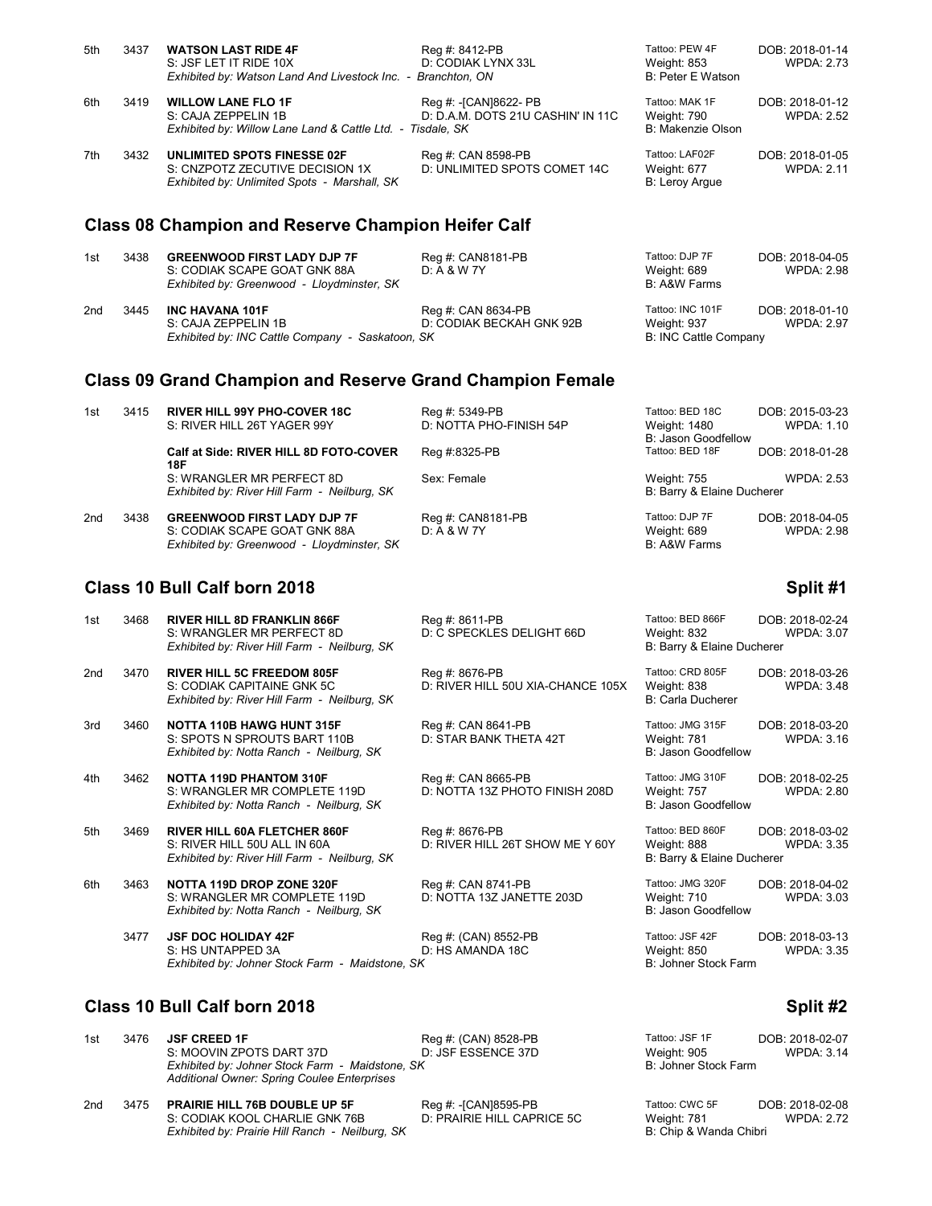| 5th | 3437 | <b>WATSON LAST RIDE 4F</b><br>S: JSF LET IT RIDE 10X<br>Exhibited by: Watson Land And Livestock Inc. - Branchton, ON | Reg #: 8412-PB<br>D: CODIAK LYNX 33L                       | Tattoo: PEW 4F<br>Weight: 853<br>B: Peter E Watson        | DOB: 2018-01-14<br><b>WPDA: 2.73</b> |
|-----|------|----------------------------------------------------------------------------------------------------------------------|------------------------------------------------------------|-----------------------------------------------------------|--------------------------------------|
| 6th | 3419 | <b>WILLOW LANE FLO 1F</b><br>S: CAJA ZEPPELIN 1B<br>Exhibited by: Willow Lane Land & Cattle Ltd. - Tisdale, SK       | Reg #: -[CAN]8622- PB<br>D: D.A.M. DOTS 21U CASHIN' IN 11C | Tattoo: MAK 1F<br>Weight: 790<br><b>B: Makenzie Olson</b> | DOB: 2018-01-12<br><b>WPDA: 2.52</b> |
| 7th | 3432 | UNLIMITED SPOTS FINESSE 02F<br>S: CNZPOTZ ZECUTIVE DECISION 1X<br>Exhibited by: Unlimited Spots - Marshall, SK       | Reg #: CAN 8598-PB<br>D: UNLIMITED SPOTS COMET 14C         | Tattoo: LAF02F<br>Weight: 677<br>B: Leroy Argue           | DOB: 2018-01-05<br><b>WPDA: 2.11</b> |
|     |      | <b>Class 08 Champion and Reserve Champion Heifer Calf</b>                                                            |                                                            |                                                           |                                      |
| 1st | 3438 | <b>GREENWOOD FIRST LADY DJP 7F</b><br>S: CODIAK SCAPE GOAT GNK 88A<br>Exhibited by: Greenwood - Lloydminster, SK     | Reg #: CAN8181-PB<br>D: A & W 7Y                           | Tattoo: DJP 7F<br>Weight: 689<br>B: A&W Farms             | DOB: 2018-04-05<br><b>WPDA: 2.98</b> |
| 2nd | 3445 | <b>INC HAVANA 101F</b><br>S: CAJA ZEPPELIN 1B<br>Exhibited by: INC Cattle Company - Saskatoon, SK                    | Reg #: CAN 8634-PB<br>D: CODIAK BECKAH GNK 92B             | Tattoo: INC 101F<br>Weight: 937<br>B: INC Cattle Company  | DOB: 2018-01-10<br><b>WPDA: 2.97</b> |
|     |      | <b>Class 09 Grand Champion and Reserve Grand Champion Female</b>                                                     |                                                            |                                                           |                                      |

| 1st | 3415 | <b>RIVER HILL 99Y PHO-COVER 18C</b>           | Reg #: 5349-PB          | Tattoo: BED 18C            | DOB: 2015-03-23   |
|-----|------|-----------------------------------------------|-------------------------|----------------------------|-------------------|
|     |      | S: RIVER HILL 26T YAGER 99Y                   | D: NOTTA PHO-FINISH 54P | Weight: 1480               | WPDA: 1.10        |
|     |      |                                               |                         | B: Jason Goodfellow        |                   |
|     |      | Calf at Side: RIVER HILL 8D FOTO-COVER<br>18F | Reg #:8325-PB           | Tattoo: BED 18F            | DOB: 2018-01-28   |
|     |      | S: WRANGLER MR PERFECT 8D                     | Sex: Female             | Weight: 755                | WPDA: 2.53        |
|     |      | Exhibited by: River Hill Farm - Neilburg, SK  |                         | B: Barry & Elaine Ducherer |                   |
| 2nd | 3438 | <b>GREENWOOD FIRST LADY DJP 7F</b>            | Reg #: CAN8181-PB       | Tattoo: DJP 7F             | DOB: 2018-04-05   |
|     |      | S: CODIAK SCAPE GOAT GNK 88A                  | $D: A & W$ 7Y           | Weight: 689                | <b>WPDA: 2.98</b> |
|     |      | Exhibited by: Greenwood - Lloydminster, SK    |                         | B: A&W Farms               |                   |
|     |      |                                               |                         |                            |                   |

# **Class 10 Bull Calf born 2018 Split #1 Split #1 Split #1 Split #1**

| 1st | 3468 | <b>RIVER HILL 8D FRANKLIN 866F</b><br>S: WRANGLER MR PERFECT 8D<br>Exhibited by: River Hill Farm - Neilburg, SK     | Reg #: 8611-PB<br>D: C SPECKLES DELIGHT 66D          | Tattoo: BED 866F<br>Weight: 832<br>B: Barry & Elaine Ducherer | DOB: 2018-02-24<br><b>WPDA: 3.07</b> |
|-----|------|---------------------------------------------------------------------------------------------------------------------|------------------------------------------------------|---------------------------------------------------------------|--------------------------------------|
| 2nd | 3470 | <b>RIVER HILL 5C FREEDOM 805F</b><br>S: CODIAK CAPITAINE GNK 5C<br>Exhibited by: River Hill Farm - Neilburg, SK     | Reg #: 8676-PB<br>D: RIVER HILL 50U XIA-CHANCE 105X  | Tattoo: CRD 805F<br>Weight: 838<br>B: Carla Ducherer          | DOB: 2018-03-26<br><b>WPDA: 3.48</b> |
| 3rd | 3460 | <b>NOTTA 110B HAWG HUNT 315F</b><br>S: SPOTS N SPROUTS BART 110B<br>Exhibited by: Notta Ranch - Neilburg, SK        | Reg #: CAN 8641-PB<br>D: STAR BANK THETA 42T         | Tattoo: JMG 315F<br>Weight: 781<br>B: Jason Goodfellow        | DOB: 2018-03-20<br><b>WPDA: 3.16</b> |
| 4th | 3462 | <b>NOTTA 119D PHANTOM 310F</b><br>S: WRANGLER MR COMPLETE 119D<br>Exhibited by: Notta Ranch - Neilburg, SK          | Reg #: CAN 8665-PB<br>D: NOTTA 13Z PHOTO FINISH 208D | Tattoo: JMG 310F<br>Weight: 757<br>B: Jason Goodfellow        | DOB: 2018-02-25<br><b>WPDA: 2.80</b> |
| 5th | 3469 | <b>RIVER HILL 60A FLETCHER 860F</b><br>S: RIVER HILL 50U ALL IN 60A<br>Exhibited by: River Hill Farm - Neilburg, SK | Reg #: 8676-PB<br>D: RIVER HILL 26T SHOW ME Y 60Y    | Tattoo: BED 860F<br>Weight: 888<br>B: Barry & Elaine Ducherer | DOB: 2018-03-02<br><b>WPDA: 3.35</b> |
| 6th | 3463 | NOTTA 119D DROP ZONE 320F<br>S: WRANGLER MR COMPLETE 119D<br>Exhibited by: Notta Ranch - Neilburg, SK               | Reg #: CAN 8741-PB<br>D: NOTTA 13Z JANETTE 203D      | Tattoo: JMG 320F<br>Weight: 710<br>B: Jason Goodfellow        | DOB: 2018-04-02<br><b>WPDA: 3.03</b> |
|     | 3477 | <b>JSF DOC HOLIDAY 42F</b><br>S: HS UNTAPPED 3A<br>Exhibited by: Johner Stock Farm - Maidstone, SK                  | Reg #: (CAN) 8552-PB<br>D: HS AMANDA 18C             | Tattoo: JSF 42F<br>Weight: 850<br>B: Johner Stock Farm        | DOB: 2018-03-13<br><b>WPDA: 3.35</b> |

# **Class 10 Bull Calf born 2018 Split #2 Split #2**

| 1st | 3476 | <b>JSF CREED 1F</b><br>S: MOOVIN ZPOTS DART 37D<br>Exhibited by: Johner Stock Farm - Maidstone, SK<br>Additional Owner: Spring Coulee Enterprises | Reg #: (CAN) 8528-PB<br>D: JSF ESSENCE 37D         | Tattoo: JSF 1F<br>Weight: 905<br>B: Johner Stock Farm   | DOB: 2018-02-07<br><b>WPDA: 3.14</b> |
|-----|------|---------------------------------------------------------------------------------------------------------------------------------------------------|----------------------------------------------------|---------------------------------------------------------|--------------------------------------|
| 2nd | 3475 | <b>PRAIRIE HILL 76B DOUBLE UP 5F</b><br>S: CODIAK KOOL CHARLIE GNK 76B<br>Exhibited by: Prairie Hill Ranch - Neilburg, SK                         | Reg #: -[CAN]8595-PB<br>D: PRAIRIE HILL CAPRICE 5C | Tattoo: CWC 5F<br>Weight: 781<br>B: Chip & Wanda Chibri | DOB: 2018-02-08<br><b>WPDA: 2.72</b> |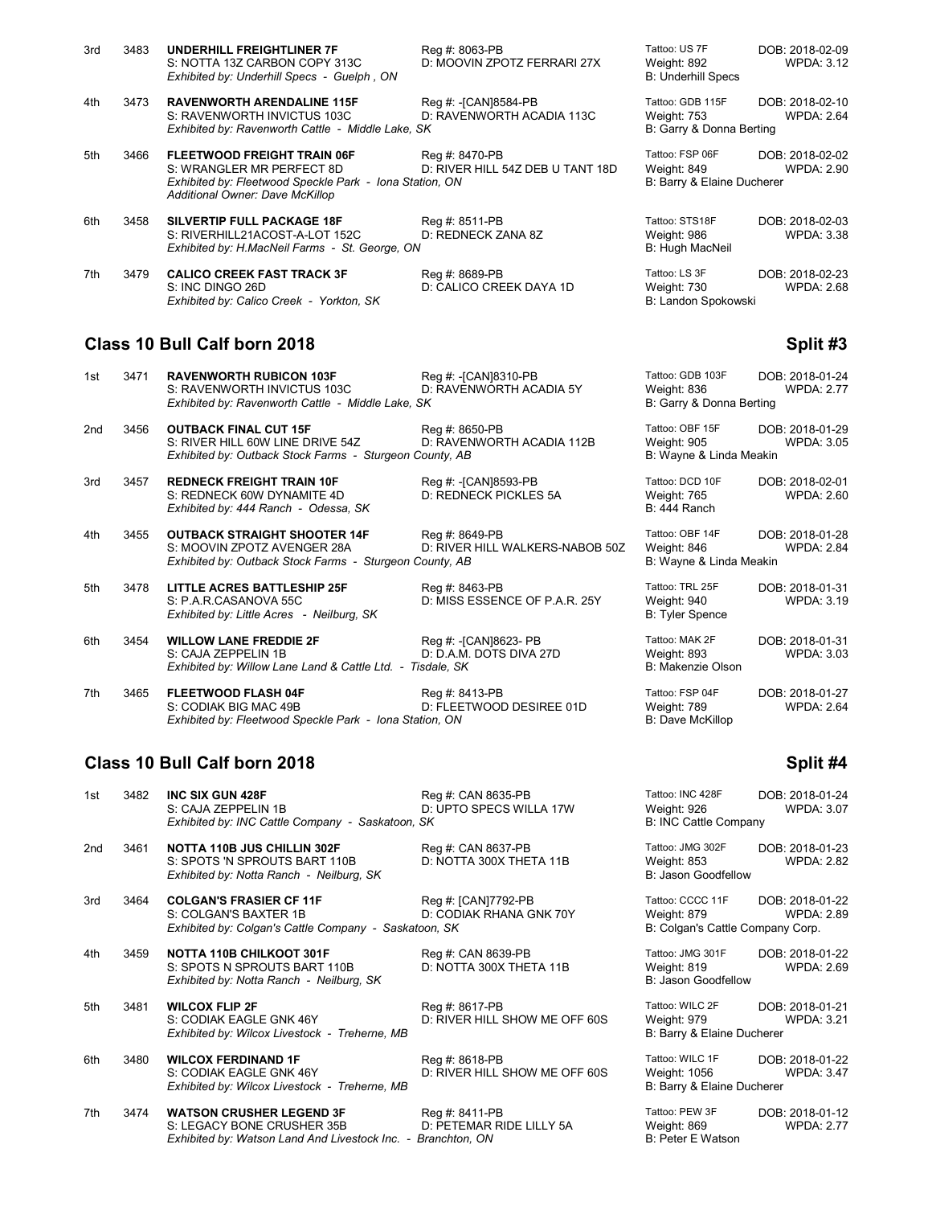| 3rd | 3483 | <b>UNDERHILL FREIGHTLINER 7F</b><br>S: NOTTA 13Z CARBON COPY 313C<br>Exhibited by: Underhill Specs - Guelph, ON                                               | Reg #: 8063-PB<br>D: MOOVIN ZPOTZ FERRARI 27X      | Tattoo: US 7F<br>Weight: 892<br><b>B: Underhill Specs</b>    | DOB: 2018-02-09<br><b>WPDA: 3.12</b> |
|-----|------|---------------------------------------------------------------------------------------------------------------------------------------------------------------|----------------------------------------------------|--------------------------------------------------------------|--------------------------------------|
| 4th | 3473 | <b>RAVENWORTH ARENDALINE 115F</b><br>S: RAVENWORTH INVICTUS 103C<br>Exhibited by: Ravenworth Cattle - Middle Lake, SK                                         | Reg #: -[CAN]8584-PB<br>D: RAVENWORTH ACADIA 113C  | Tattoo: GDB 115F<br>Weight: 753<br>B: Garry & Donna Berting  | DOB: 2018-02-10<br><b>WPDA: 2.64</b> |
| 5th | 3466 | <b>FLEETWOOD FREIGHT TRAIN 06F</b><br>S: WRANGLER MR PERFECT 8D<br>Exhibited by: Fleetwood Speckle Park - Iona Station, ON<br>Additional Owner: Dave McKillop | Reg #: 8470-PB<br>D: RIVER HILL 54Z DEB U TANT 18D | Tattoo: FSP 06F<br>Weight: 849<br>B: Barry & Elaine Ducherer | DOB: 2018-02-02<br><b>WPDA: 2.90</b> |
| 6th | 3458 | <b>SILVERTIP FULL PACKAGE 18F</b><br>S: RIVERHILL21ACOST-A-LOT 152C<br>Exhibited by: H.MacNeil Farms - St. George, ON                                         | Reg #: 8511-PB<br>D: REDNECK ZANA 8Z               | Tattoo: STS18F<br>Weight: 986<br>B: Hugh MacNeil             | DOB: 2018-02-03<br><b>WPDA: 3.38</b> |
| 7th | 3479 | <b>CALICO CREEK FAST TRACK 3F</b><br>S: INC DINGO 26D<br>Exhibited by: Calico Creek - Yorkton, SK                                                             | Reg #: 8689-PB<br>D: CALICO CREEK DAYA 1D          | Tattoo: LS 3F<br>Weight: 730<br>B: Landon Spokowski          | DOB: 2018-02-23<br><b>WPDA: 2.68</b> |

# **Class 10 Bull Calf born 2018 Split #3 Split #3**

| 1st | 3471 | <b>RAVENWORTH RUBICON 103F</b><br>S: RAVENWORTH INVICTUS 103C<br>Exhibited by: Ravenworth Cattle - Middle Lake, SK            | Reg #: -[CAN]8310-PB<br>D: RAVENWORTH ACADIA 5Y   | Tattoo: GDB 103F<br>Weight: 836<br>B: Garry & Donna Berting | DOB: 2018-01-24<br><b>WPDA: 2.77</b> |
|-----|------|-------------------------------------------------------------------------------------------------------------------------------|---------------------------------------------------|-------------------------------------------------------------|--------------------------------------|
| 2nd | 3456 | <b>OUTBACK FINAL CUT 15F</b><br>S: RIVER HILL 60W LINE DRIVE 54Z<br>Exhibited by: Outback Stock Farms - Sturgeon County, AB   | Reg #: 8650-PB<br>D: RAVENWORTH ACADIA 112B       | Tattoo: OBF 15F<br>Weight: 905<br>B: Wayne & Linda Meakin   | DOB: 2018-01-29<br><b>WPDA: 3.05</b> |
| 3rd | 3457 | <b>REDNECK FREIGHT TRAIN 10F</b><br>S: REDNECK 60W DYNAMITE 4D<br>Exhibited by: 444 Ranch - Odessa, SK                        | Reg #: - [CAN]8593-PB<br>D: REDNECK PICKLES 5A    | Tattoo: DCD 10F<br>Weight: 765<br>B: 444 Ranch              | DOB: 2018-02-01<br><b>WPDA: 2.60</b> |
| 4th | 3455 | <b>OUTBACK STRAIGHT SHOOTER 14F</b><br>S: MOOVIN ZPOTZ AVENGER 28A<br>Exhibited by: Outback Stock Farms - Sturgeon County, AB | Reg #: 8649-PB<br>D: RIVER HILL WALKERS-NABOB 50Z | Tattoo: OBF 14F<br>Weight: 846<br>B: Wayne & Linda Meakin   | DOB: 2018-01-28<br><b>WPDA: 2.84</b> |
| 5th | 3478 | <b>LITTLE ACRES BATTLESHIP 25F</b><br>S: P.A.R.CASANOVA 55C<br>Exhibited by: Little Acres - Neilburg, SK                      | Reg #: 8463-PB<br>D: MISS ESSENCE OF P.A.R. 25Y   | Tattoo: TRL 25F<br>Weight: 940<br><b>B: Tyler Spence</b>    | DOB: 2018-01-31<br><b>WPDA: 3.19</b> |
| 6th | 3454 | <b>WILLOW LANE FREDDIE 2F</b><br>S: CAJA ZEPPELIN 1B<br>Exhibited by: Willow Lane Land & Cattle Ltd. - Tisdale, SK            | Reg #: -[CAN]8623- PB<br>D: D.A.M. DOTS DIVA 27D  | Tattoo: MAK 2F<br>Weight: 893<br>B: Makenzie Olson          | DOB: 2018-01-31<br><b>WPDA: 3.03</b> |
| 7th | 3465 | <b>FLEETWOOD FLASH 04F</b><br>S: CODIAK BIG MAC 49B<br>Exhibited by: Fleetwood Speckle Park - Iona Station, ON                | Reg #: 8413-PB<br>D: FLEETWOOD DESIREE 01D        | Tattoo: FSP 04F<br>Weight: 789<br><b>B: Dave McKillop</b>   | DOB: 2018-01-27<br><b>WPDA: 2.64</b> |

# **Class 10 Bull Calf born 2018 Split #4**

| 1st | 3482 | <b>INC SIX GUN 428F</b><br>S: CAJA ZEPPELIN 1B<br>Exhibited by: INC Cattle Company - Saskatoon, SK                            | Reg #: CAN 8635-PB<br>D: UPTO SPECS WILLA 17W   | Tattoo: INC 428F<br>Weight: 926<br><b>B: INC Cattle Company</b>     | DOB: 2018-01-24<br><b>WPDA: 3.07</b> |
|-----|------|-------------------------------------------------------------------------------------------------------------------------------|-------------------------------------------------|---------------------------------------------------------------------|--------------------------------------|
| 2nd | 3461 | <b>NOTTA 110B JUS CHILLIN 302F</b><br>S: SPOTS 'N SPROUTS BART 110B<br>Exhibited by: Notta Ranch - Neilburg, SK               | Reg #: CAN 8637-PB<br>D: NOTTA 300X THETA 11B   | Tattoo: JMG 302F<br>Weight: 853<br>B: Jason Goodfellow              | DOB: 2018-01-23<br><b>WPDA: 2.82</b> |
| 3rd | 3464 | <b>COLGAN'S FRASIER CF 11F</b><br>S: COLGAN'S BAXTER 1B<br>Exhibited by: Colgan's Cattle Company - Saskatoon, SK              | Reg #: [CAN]7792-PB<br>D: CODIAK RHANA GNK 70Y  | Tattoo: CCCC 11F<br>Weight: 879<br>B: Colgan's Cattle Company Corp. | DOB: 2018-01-22<br><b>WPDA: 2.89</b> |
| 4th | 3459 | <b>NOTTA 110B CHILKOOT 301F</b><br>S: SPOTS N SPROUTS BART 110B<br>Exhibited by: Notta Ranch - Neilburg, SK                   | Reg #: CAN 8639-PB<br>D: NOTTA 300X THETA 11B   | Tattoo: JMG 301F<br>Weight: 819<br>B: Jason Goodfellow              | DOB: 2018-01-22<br><b>WPDA: 2.69</b> |
| 5th | 3481 | <b>WILCOX FLIP 2F</b><br>S: CODIAK EAGLE GNK 46Y<br>Exhibited by: Wilcox Livestock - Treherne, MB                             | Reg #: 8617-PB<br>D: RIVER HILL SHOW ME OFF 60S | Tattoo: WILC 2F<br>Weight: 979<br>B: Barry & Elaine Ducherer        | DOB: 2018-01-21<br><b>WPDA: 3.21</b> |
| 6th | 3480 | <b>WILCOX FERDINAND 1F</b><br>S: CODIAK EAGLE GNK 46Y<br>Exhibited by: Wilcox Livestock - Treherne, MB                        | Reg #: 8618-PB<br>D: RIVER HILL SHOW ME OFF 60S | Tattoo: WILC 1F<br>Weight: 1056<br>B: Barry & Elaine Ducherer       | DOB: 2018-01-22<br><b>WPDA: 3.47</b> |
| 7th | 3474 | <b>WATSON CRUSHER LEGEND 3F</b><br>S: LEGACY BONE CRUSHER 35B<br>Exhibited by: Watson Land And Livestock Inc. - Branchton, ON | Reg #: 8411-PB<br>D: PETEMAR RIDE LILLY 5A      | Tattoo: PEW 3F<br>Weight: 869<br>B: Peter E Watson                  | DOB: 2018-01-12<br><b>WPDA: 2.77</b> |

| attoo: INC 428F<br>eight: 926<br>: INC Cattle Company            | DOB: 2018-01-24<br><b>WPDA: 3.07</b> |
|------------------------------------------------------------------|--------------------------------------|
| attoo: JMG 302F<br>eight: 853<br>Jason Goodfellow                | DOB: 2018-01-23<br><b>WPDA: 2.82</b> |
| attoo: CCCC 11F<br>eight: 879<br>: Colgan's Cattle Company Corp. | DOB: 2018-01-22<br><b>WPDA: 2.89</b> |
| attoo: JMG 301F<br>eight: 819<br>: Jason Goodfellow              | DOB: 2018-01-22<br><b>WPDA: 2.69</b> |
| attoo: WILC 2F<br>eight: 979<br>Barry & Elaine Ducherer          | DOB: 2018-01-21<br><b>WPDA: 3.21</b> |
| attoo: WILC 1F<br>eight: 1056<br>Barry & Elaine Ducherer         | DOB: 2018-01-22<br><b>WPDA: 3.47</b> |
| $H = 2.051125$                                                   | 0.0000000000000                      |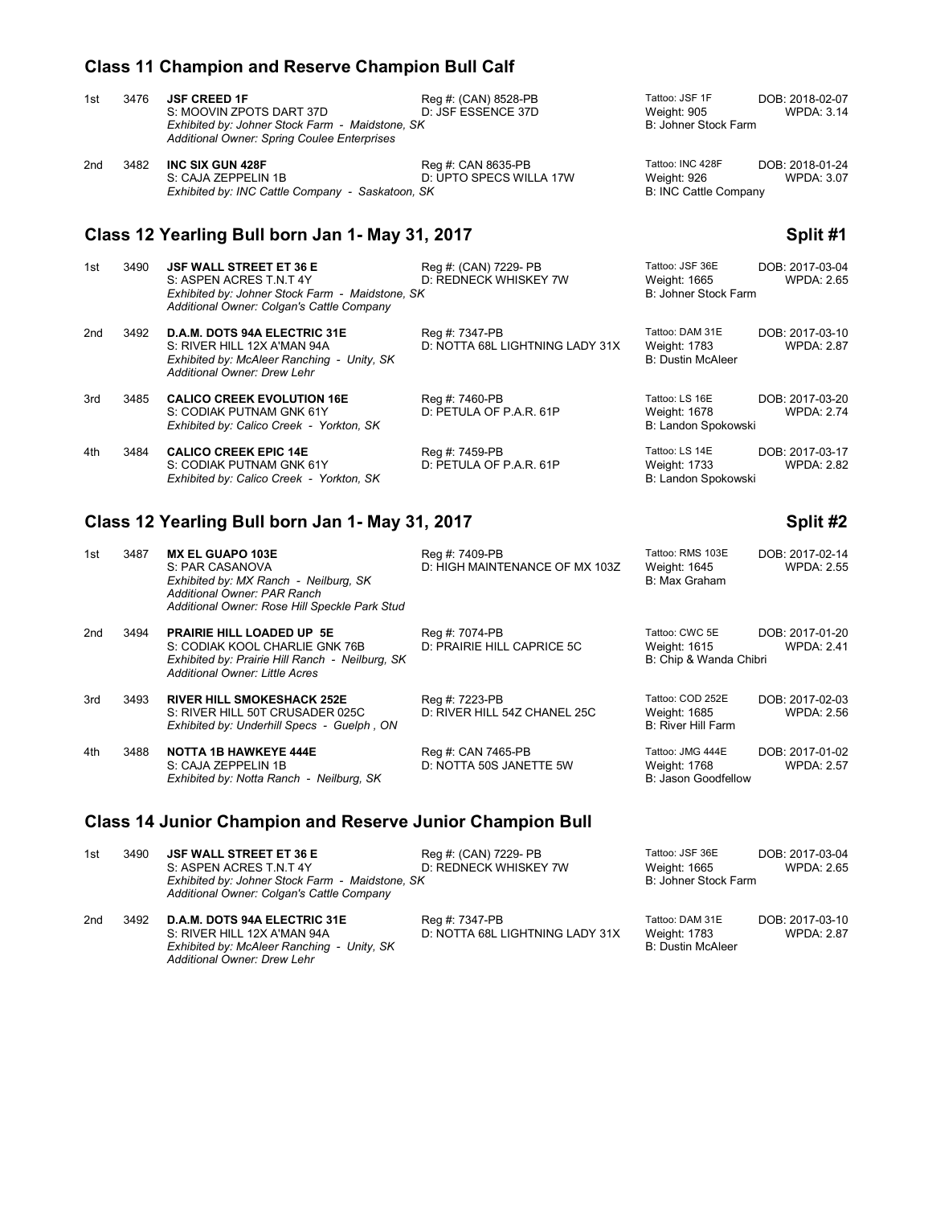# **Class 11 Champion and Reserve Champion Bull Calf**

| 1st | 3476                                                        | <b>JSF CREED 1F</b><br>S: MOOVIN ZPOTS DART 37D<br>Exhibited by: Johner Stock Farm - Maidstone, SK<br>Additional Owner: Spring Coulee Enterprises         | Reg #: (CAN) 8528-PB<br>D: JSF ESSENCE 37D        | Tattoo: JSF 1F<br>Weight: 905<br>B: Johner Stock Farm           | DOB: 2018-02-07<br><b>WPDA: 3.14</b> |  |
|-----|-------------------------------------------------------------|-----------------------------------------------------------------------------------------------------------------------------------------------------------|---------------------------------------------------|-----------------------------------------------------------------|--------------------------------------|--|
| 2nd | 3482                                                        | <b>INC SIX GUN 428F</b><br>S: CAJA ZEPPELIN 1B<br>Exhibited by: INC Cattle Company - Saskatoon, SK                                                        | Reg #: CAN 8635-PB<br>D: UPTO SPECS WILLA 17W     | Tattoo: INC 428F<br>Weight: 926<br><b>B: INC Cattle Company</b> | DOB: 2018-01-24<br><b>WPDA: 3.07</b> |  |
|     | Class 12 Yearling Bull born Jan 1- May 31, 2017<br>Split #1 |                                                                                                                                                           |                                                   |                                                                 |                                      |  |
| 1st | 3490                                                        | <b>JSF WALL STREET ET 36 E</b><br>S: ASPEN ACRES T.N.T 4Y<br>Exhibited by: Johner Stock Farm - Maidstone, SK<br>Additional Owner: Colgan's Cattle Company | Reg #: (CAN) 7229- PB<br>D: REDNECK WHISKEY 7W    | Tattoo: JSF 36E<br>Weight: 1665<br>B: Johner Stock Farm         | DOB: 2017-03-04<br><b>WPDA: 2.65</b> |  |
| 2nd | 3492                                                        | <b>D.A.M. DOTS 94A ELECTRIC 31E</b><br>S: RIVER HILL 12X A'MAN 94A<br>Exhibited by: McAleer Ranching - Unity, SK<br>Additional Owner: Drew Lehr           | Reg #: 7347-PB<br>D: NOTTA 68L LIGHTNING LADY 31X | Tattoo: DAM 31E<br>Weight: 1783<br><b>B: Dustin McAleer</b>     | DOB: 2017-03-10<br><b>WPDA: 2.87</b> |  |

3rd 3485 **CALICO CREEK EVOLUTION 16E** Reg #: 7460-PB Tattoo: LS 16E DOB: 2017-03-20<br>S: CODIAK PUTNAM GNK 61Y D: PETULA OF P.A.R. 61P Weight: 1678 WPDA: 2.74 S: CODIAK PUTNAM GNK 61Y D: PETULA OF P.A.R. 61P Weight: 1678 WPDA: 2.74<br>
Exhibited by: Calico Creek - Yorkton, SK B: Landon Spokowski *Exhibited by: Calico Creek - Yorkton, SK* 

4th 3484 **CALICO CREEK EPIC 14E** Reg #: 7459-PB Tattoo: LS 14E DOB: 2017-03-17<br>S: CODIAK PUTNAM GNK 61Y D: PETULA OF P.A.R. 61P Weight: 1733 WPDA: 2.82 S: CODIAK PUTNAM GNK 61Y D: PETULA OF P.A.R. 61P Weight: 1733<br>Exhibited by: Calico Creek - Yorkton, SK B: Landon Spokowski *Exhibited by: Calico Creek - Yorkton, SK* 

*Additional Owner: Drew Lehr*

# **Class 12 Yearling Bull born Jan 1- May 31, 2017 Split #2**

| 1st | 3487 | <b>MX EL GUAPO 103E</b><br>S: PAR CASANOVA<br>Exhibited by: MX Ranch - Neilburg, SK<br>Additional Owner: PAR Ranch<br>Additional Owner: Rose Hill Speckle Park Stud | Reg #: 7409-PB<br>D: HIGH MAINTENANCE OF MX 103Z | Tattoo: RMS 103E<br>Weight: 1645<br>B: Max Graham        | DOB: 2017-02-14<br><b>WPDA: 2.55</b> |
|-----|------|---------------------------------------------------------------------------------------------------------------------------------------------------------------------|--------------------------------------------------|----------------------------------------------------------|--------------------------------------|
| 2nd | 3494 | <b>PRAIRIE HILL LOADED UP 5E</b><br>S: CODIAK KOOL CHARLIE GNK 76B<br>Exhibited by: Prairie Hill Ranch - Neilburg, SK<br>Additional Owner: Little Acres             | Reg #: 7074-PB<br>D: PRAIRIE HILL CAPRICE 5C     | Tattoo: CWC 5E<br>Weight: 1615<br>B: Chip & Wanda Chibri | DOB: 2017-01-20<br><b>WPDA: 2.41</b> |
| 3rd | 3493 | <b>RIVER HILL SMOKESHACK 252E</b><br>S: RIVER HILL 50T CRUSADER 025C<br>Exhibited by: Underhill Specs - Guelph, ON                                                  | Reg #: 7223-PB<br>D: RIVER HILL 54Z CHANEL 25C   | Tattoo: COD 252E<br>Weight: 1685<br>B: River Hill Farm   | DOB: 2017-02-03<br><b>WPDA: 2.56</b> |
| 4th | 3488 | <b>NOTTA 1B HAWKEYE 444E</b><br>S: CAJA ZEPPELIN 1B<br>Exhibited by: Notta Ranch - Neilburg, SK                                                                     | Reg #: CAN 7465-PB<br>D: NOTTA 50S JANETTE 5W    | Tattoo: JMG 444E<br>Weight: 1768<br>B: Jason Goodfellow  | DOB: 2017-01-02<br><b>WPDA: 2.57</b> |

## **Class 14 Junior Champion and Reserve Junior Champion Bull**

1st 3490 **JSF WALL STREET ET 36 E** Reg #: (CAN) 7229- PB Tattoo: JSF 36E DOB: 2017-03-04<br>5: ASPEN ACRES T.N.T 4Y D: REDNECK WHISKEY 7W Weight: 1665 WPDA: 2.65 S: ASPEN ACRES T.N.T 4Y D: REDNECK WHISKEY 7W Weight: 1665 WPDA: 2.65 Exhibited by: Johner Stock Farm - Maidstone, SK WHISKEY 7W B: Johner Stock Farm *Exhibited by: Johner Stock Farm - Maidstone, SK Additional Owner: Colgan's Cattle Company* 2nd 2012 **D.A.M. DOTS 94A ELECTRIC 31E** Reg #: 7347-PB Tattoo: DAM 31E DOB: 2017-03-10<br>2.87 S: RIVER HILL 12X A'MAN 94A D: NOTTA 68L LIGHTNING LADY 31X Weight: 1783 WPDA: 2.87 D: NOTTA 68L LIGHTNING LADY 31X Weight: 1783<br>B: Dustin McAleer *Exhibited by: McAleer Ranching - Unity, SK*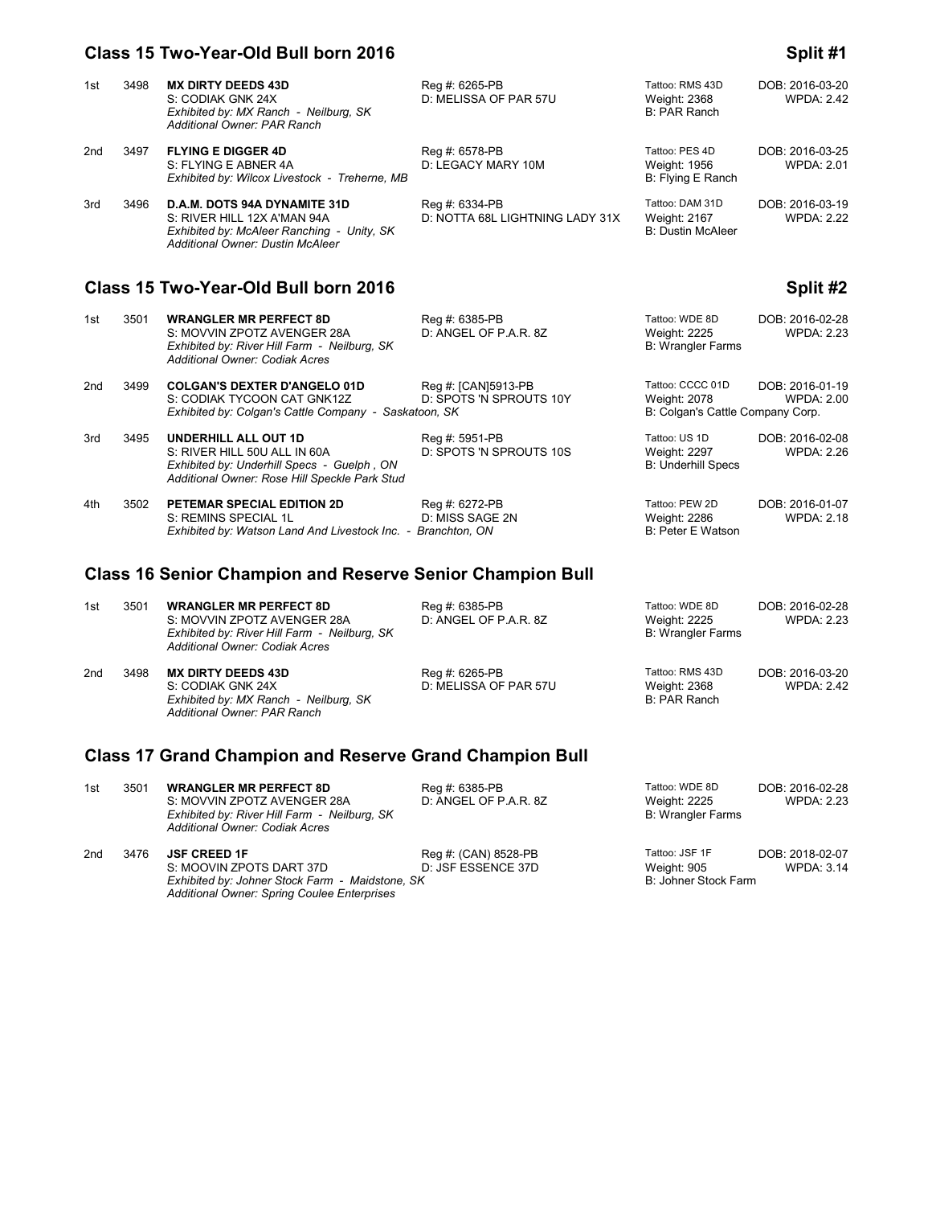### **Class 15 Two-Year-Old Bull born 2016 Split #1**

### 1st 3498 **MX DIRTY DEEDS 43D** Reg #: 6265-PB Tattoo: RMS 43D DOB: 2016-03-20<br>19. S: CODIAK GNK 24X D: MELISSA OF PAR 57U Weight: 2368 WPDA: 2.42 D: MELISSA OF PAR 57U Weight: 2368<br>B: PAR Ranch *Exhibited by: MX Ranch - Neilburg, SK Additional Owner: PAR Ranch* 2nd 3497 **FLYING E DIGGER 4D** Reg #: 6578-PB Tattoo: PES 4D DOB: 2016-03-25<br>10. S: FLYING E ABNER 4A D: LEGACY MARY 10M Weight: 1956 WPDA: 2.01 S: FLYING E ABNER 4A D: LEGACY MARY 10M Weight: 1956 WPDA: 2.01 *Exhibited by: Wilcox Livestock - Treherne, MB* 3rd 3496 **D.A.M. DOTS 94A DYNAMITE 31D** Reg #: 6334-PB Tattoo: DAM 31D DOB: 2016-03-19<br>222. S: RIVER HILL 12X A'MAN 94A D: NOTTA 68L LIGHTNING LADY 31X Weight: 2167 WPDA: 2.22 D: NOTTA 68L LIGHTNING LADY 31X Weight: 2167<br>B: Dustin McAleer *Exhibited by: McAleer Ranching - Unity, SK Additional Owner: Dustin McAleer* **Class 15 Two-Year-Old Bull born 2016 Split #2** 1st 3501 **WRANGLER MR PERFECT 8D** Reg #: 6385-PB Tattoo: WDE 8D DOB: 2016-02-28<br>S: MOVVIN ZPOTZ AVENGER 28A D: ANGEL OF P.A.R. 8Z Weight: 2225 WPDA: 2.23 S: MOVVIN ZPOTZ AVENGER 28A D: ANGEL OF P.A.R. 8Z<br>
Exhibited by: River Hill Farm - Neilburg, SK B: Wrangler Farms *Exhibited by: River Hill Farm - Neilburg, SK Additional Owner: Codiak Acres* 2nd 3499 **COLGAN'S DEXTER D'ANGELO 01D** Reg #: [CAN]5913-PB Tattoo: CCCC 01D DOB: 2016-01-19<br>S: CODIAK TYCOON CAT GNK12Z D: SPOTS 'N SPROUTS 10Y Weight: 2078 WPDA: 2.00 D: SPOTS 'N SPROUTS 10Y Weight: 2078 WPDA:<br>
D. SK WEIGHT B: Colgan's Cattle Company Corp. *Exhibited by: Colgan's Cattle Company - Saskatoon, SK* 3rd 3495 **UNDERHILL ALL OUT 1D** Reg #: 5951-PB Tattoo: US 1D DOB: 2016-02-08<br>S: RIVER HILL 50U ALL IN 60A D: SPOTS 'N SPROUTS 10S Weight: 2297 WPDA: 2.26 D: SPOTS 'N SPROUTS 10S *Exhibited by: Underhill Specs - Guelph , ON* B: Underhill Specs **B: Underhill Specs**  *Additional Owner: Rose Hill Speckle Park Stud*  4th 3502 **PETEMAR SPECIAL EDITION 2D** Reg #: 6272-PB Tattoo: PEW 2D DOB: 2016-01-07<br>1.18 S: REMINS SPECIAL 1L D: MISS SAGE 2N Weight: 2286 WPDA: 2.18 S: REMINS SPECIAL 1L D: MISS SAGE 2N Weight: 2286<br>
Exhibited by: Watson Land And Livestock Inc. - Branchton. ON B: Peter E Watson *Exhibited by: Watson Land And Livestock Inc. - Branchton, ON*

# **Class 16 Senior Champion and Reserve Senior Champion Bull**

| 1st                                                            | 3501 | <b>WRANGLER MR PERFECT 8D</b><br>S: MOVVIN ZPOTZ AVENGER 28A<br>Exhibited by: River Hill Farm - Neilburg, SK<br>Additional Owner: Codiak Acres | Reg #: 6385-PB<br>D: ANGEL OF P.A.R. 8Z | Tattoo: WDE 8D<br>Weight: 2225<br><b>B: Wrangler Farms</b> | DOB: 2016-02-28<br><b>WPDA: 2.23</b> |  |
|----------------------------------------------------------------|------|------------------------------------------------------------------------------------------------------------------------------------------------|-----------------------------------------|------------------------------------------------------------|--------------------------------------|--|
| 2nd                                                            | 3498 | <b>MX DIRTY DEEDS 43D</b><br>S: CODIAK GNK 24X<br>Exhibited by: MX Ranch - Neilburg, SK<br>Additional Owner: PAR Ranch                         | Reg #: 6265-PB<br>D: MELISSA OF PAR 57U | Tattoo: RMS 43D<br>Weight: 2368<br>B: PAR Ranch            | DOB: 2016-03-20<br><b>WPDA: 2.42</b> |  |
| <b>Class 17 Grand Champion and Reserve Grand Champion Bull</b> |      |                                                                                                                                                |                                         |                                                            |                                      |  |

| 1st | 3501 | <b>WRANGLER MR PERFECT 8D</b><br>S: MOVVIN ZPOTZ AVENGER 28A<br>Exhibited by: River Hill Farm - Neilburg, SK<br>Additional Owner: Codiak Acres    | Reg #: 6385-PB<br>D: ANGEL OF P.A.R. 8Z    | Tattoo: WDE 8D<br>Weight: 2225<br><b>B: Wrangler Farms</b> | DOB: 2016-02-28<br><b>WPDA: 2.23</b> |
|-----|------|---------------------------------------------------------------------------------------------------------------------------------------------------|--------------------------------------------|------------------------------------------------------------|--------------------------------------|
| 2nd | 3476 | <b>JSF CREED 1F</b><br>S: MOOVIN ZPOTS DART 37D<br>Exhibited by: Johner Stock Farm - Maidstone, SK<br>Additional Owner: Spring Coulee Enterprises | Reg #: (CAN) 8528-PB<br>D: JSF ESSENCE 37D | Tattoo: JSF 1F<br>Weight: 905<br>B: Johner Stock Farm      | DOB: 2018-02-07<br><b>WPDA: 3.14</b> |